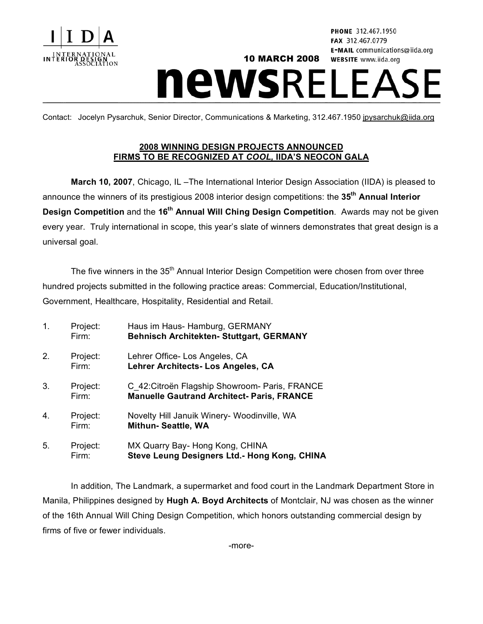

PHONE 312.467.1950 FAX 312.467.0779 E-MAIL communications@iida.org **WEBSITE** www.iida.org

## 10 MARCH 2008 **newsRELEASE**

Contact: Jocelyn Pysarchuk, Senior Director, Communications & Marketing, 312.467.1950 jpysarchuk@iida.org

## **2008 WINNING DESIGN PROJECTS ANNOUNCED FIRMS TO BE RECOGNIZED AT** *COOL,* **IIDA'S NEOCON GALA**

**March 10, 2007**, Chicago, IL –The International Interior Design Association (IIDA) is pleased to announce the winners of its prestigious 2008 interior design competitions: the **35th Annual Interior Design Competition** and the **16th Annual Will Ching Design Competition**. Awards may not be given every year. Truly international in scope, this year's slate of winners demonstrates that great design is a universal goal.

The five winners in the 35<sup>th</sup> Annual Interior Design Competition were chosen from over three hundred projects submitted in the following practice areas: Commercial, Education/Institutional, Government, Healthcare, Hospitality, Residential and Retail.

| $\mathbf{1}$ . | Project:<br>Firm: | Haus im Haus- Hamburg, GERMANY<br><b>Behnisch Architekten- Stuttgart, GERMANY</b>                   |
|----------------|-------------------|-----------------------------------------------------------------------------------------------------|
| 2.             | Project:<br>Firm: | Lehrer Office- Los Angeles, CA<br>Lehrer Architects- Los Angeles, CA                                |
| 3.             | Project:<br>Firm: | C_42: Citroën Flagship Showroom- Paris, FRANCE<br><b>Manuelle Gautrand Architect- Paris, FRANCE</b> |
| 4.             | Project:<br>Firm: | Novelty Hill Januik Winery- Woodinville, WA<br><b>Mithun- Seattle, WA</b>                           |
| 5.             | Project:<br>Firm: | MX Quarry Bay- Hong Kong, CHINA<br>Steve Leung Designers Ltd.- Hong Kong, CHINA                     |

In addition, The Landmark, a supermarket and food court in the Landmark Department Store in Manila, Philippines designed by **Hugh A. Boyd Architects** of Montclair, NJ was chosen as the winner of the 16th Annual Will Ching Design Competition, which honors outstanding commercial design by firms of five or fewer individuals.